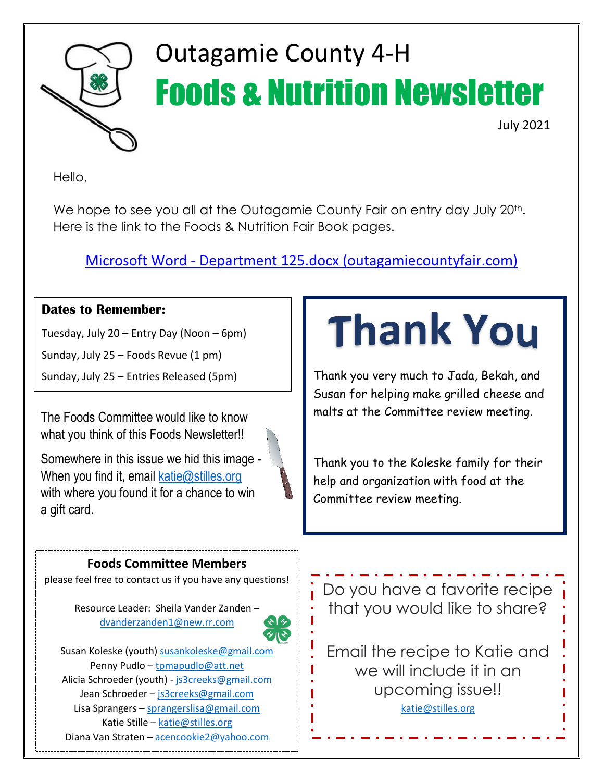

## Outagamie County 4-H Foods & Nutrition Newsletter

July 2021

Hello,

We hope to see you all at the Outagamie County Fair on entry day July 20<sup>th</sup>. Here is the link to the Foods & Nutrition Fair Book pages.

Microsoft Word - [Department 125.docx \(outagamiecountyfair.com\)](https://www.outagamiecountyfair.com/wp-content/uploads/Dept-125.pdf)

#### **Dates to Remember:**

Tuesday, July 20 – Entry Day (Noon – 6pm)

Sunday, July 25 – Foods Revue (1 pm)

The Foods Committee would like to know what you think of this Foods Newsletter!!

Somewhere in this issue we hid this image - When you find it, email  $katic@stilles.org$ with where you found it for a chance to win a gift card.

# **Thank You**

Sunday, July 25 – Entries Released (5pm) Thank you very much to Jada, Bekah, and Susan for helping make grilled cheese and malts at the Committee review meeting.

> Thank you to the Koleske family for their help and organization with food at the Committee review meeting.

#### **Foods Committee Members**

please feel free to contact us if you have any questions!

Resource Leader: Sheila Vander Zanden – [dvanderzanden1@new.rr.com](mailto:dvanderzanden1@new.rr.com)



Susan Koleske (youth) [susankoleske@gmail.com](mailto:susankoleske@gmail.com) Penny Pudlo – [tpmapudlo@att.net](mailto:tpmapudlo@att.net) Alicia Schroeder (youth) - [js3creeks@gmail.com](mailto:js3creeks@gmail.com) Jean Schroeder - [js3creeks@gmail.com](mailto:js3creeks@gmail.com) Lisa Sprangers – [sprangerslisa@gmail.com](mailto:sprangerslisa@gmail.com) Katie Stille – [katie@stilles.org](mailto:katie@stilles.org) Diana Van Straten – [acencookie2@yahoo.com](mailto:acencookie2@yahoo.com)

Do you have a favorite recipe that you would like to share?

Email the recipe to Katie and we will include it in an upcoming issue!! [katie@stilles.org](mailto:katie@stilles.org)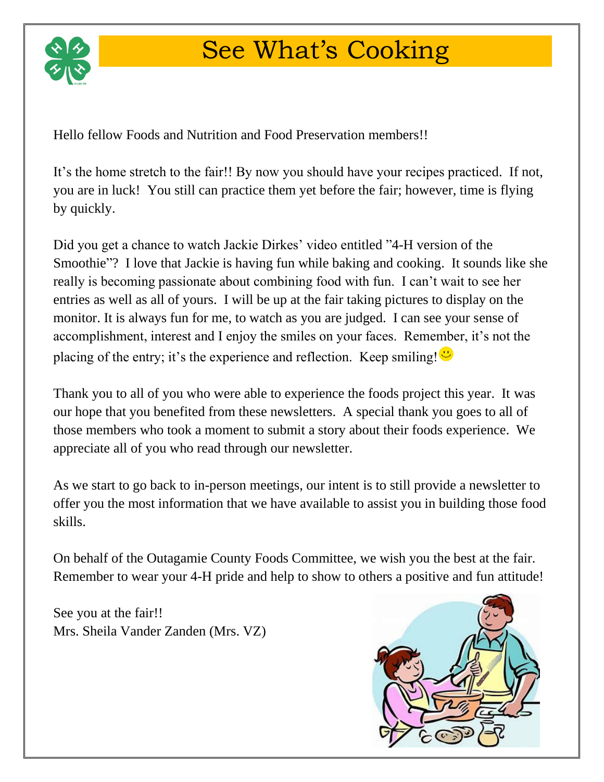

## See What's Cooking

Hello fellow Foods and Nutrition and Food Preservation members!!

It's the home stretch to the fair!! By now you should have your recipes practiced. If not, you are in luck! You still can practice them yet before the fair; however, time is flying by quickly.

Did you get a chance to watch Jackie Dirkes' video entitled "4-H version of the Smoothie"? I love that Jackie is having fun while baking and cooking. It sounds like she really is becoming passionate about combining food with fun. I can't wait to see her entries as well as all of yours. I will be up at the fair taking pictures to display on the monitor. It is always fun for me, to watch as you are judged. I can see your sense of accomplishment, interest and I enjoy the smiles on your faces. Remember, it's not the placing of the entry; it's the experience and reflection. Keep smiling!  $\ddot{\bullet}$ 

Thank you to all of you who were able to experience the foods project this year. It was our hope that you benefited from these newsletters. A special thank you goes to all of those members who took a moment to submit a story about their foods experience. We appreciate all of you who read through our newsletter.

As we start to go back to in-person meetings, our intent is to still provide a newsletter to offer you the most information that we have available to assist you in building those food skills.

On behalf of the Outagamie County Foods Committee, we wish you the best at the fair. Remember to wear your 4-H pride and help to show to others a positive and fun attitude!

See you at the fair!! Mrs. Sheila Vander Zanden (Mrs. VZ)

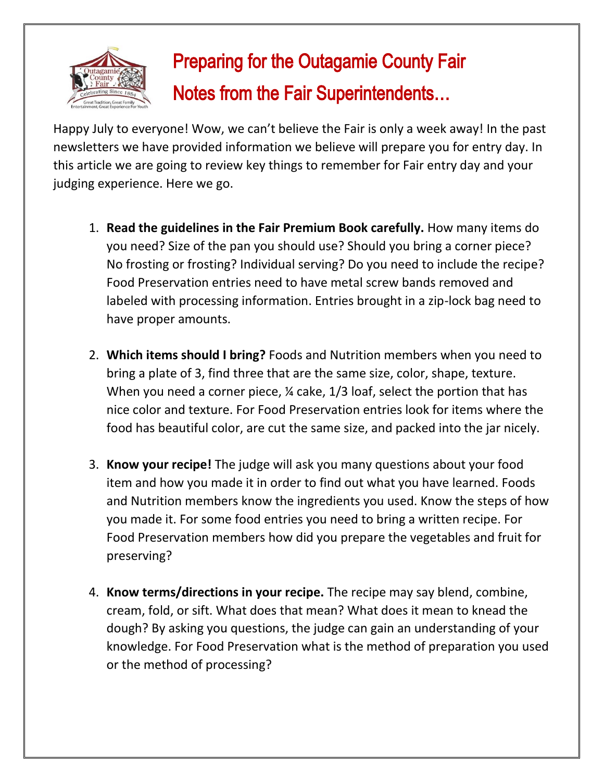

### Preparing for the Outagamie County Fair Notes from the Fair Superintendents…

Happy July to everyone! Wow, we can't believe the Fair is only a week away! In the past newsletters we have provided information we believe will prepare you for entry day. In this article we are going to review key things to remember for Fair entry day and your judging experience. Here we go.

- 1. **Read the guidelines in the Fair Premium Book carefully.** How many items do you need? Size of the pan you should use? Should you bring a corner piece? No frosting or frosting? Individual serving? Do you need to include the recipe? Food Preservation entries need to have metal screw bands removed and labeled with processing information. Entries brought in a zip-lock bag need to have proper amounts.
- 2. **Which items should I bring?** Foods and Nutrition members when you need to bring a plate of 3, find three that are the same size, color, shape, texture. When you need a corner piece, <sup>1</sup> cake, 1/3 loaf, select the portion that has nice color and texture. For Food Preservation entries look for items where the food has beautiful color, are cut the same size, and packed into the jar nicely.
- 3. **Know your recipe!** The judge will ask you many questions about your food item and how you made it in order to find out what you have learned. Foods and Nutrition members know the ingredients you used. Know the steps of how you made it. For some food entries you need to bring a written recipe. For Food Preservation members how did you prepare the vegetables and fruit for preserving?
- 4. **Know terms/directions in your recipe.** The recipe may say blend, combine, cream, fold, or sift. What does that mean? What does it mean to knead the dough? By asking you questions, the judge can gain an understanding of your knowledge. For Food Preservation what is the method of preparation you used or the method of processing?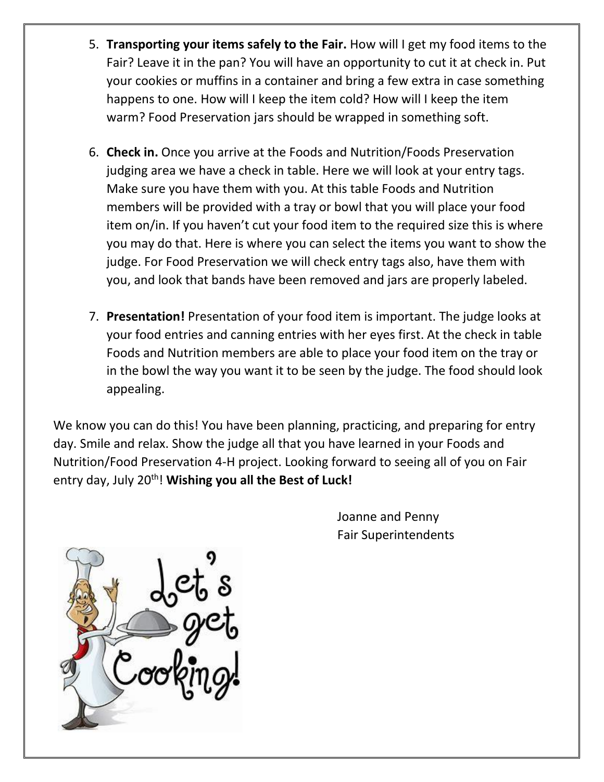- 5. **Transporting your items safely to the Fair.** How will I get my food items to the Fair? Leave it in the pan? You will have an opportunity to cut it at check in. Put your cookies or muffins in a container and bring a few extra in case something happens to one. How will I keep the item cold? How will I keep the item warm? Food Preservation jars should be wrapped in something soft.
- 6. **Check in.** Once you arrive at the Foods and Nutrition/Foods Preservation judging area we have a check in table. Here we will look at your entry tags. Make sure you have them with you. At this table Foods and Nutrition members will be provided with a tray or bowl that you will place your food item on/in. If you haven't cut your food item to the required size this is where you may do that. Here is where you can select the items you want to show the judge. For Food Preservation we will check entry tags also, have them with you, and look that bands have been removed and jars are properly labeled.
- 7. **Presentation!** Presentation of your food item is important. The judge looks at your food entries and canning entries with her eyes first. At the check in table Foods and Nutrition members are able to place your food item on the tray or in the bowl the way you want it to be seen by the judge. The food should look appealing.

We know you can do this! You have been planning, practicing, and preparing for entry day. Smile and relax. Show the judge all that you have learned in your Foods and Nutrition/Food Preservation 4-H project. Looking forward to seeing all of you on Fair entry day, July 20<sup>th</sup>! Wishing you all the Best of Luck!

> Joanne and Penny Fair Superintendents